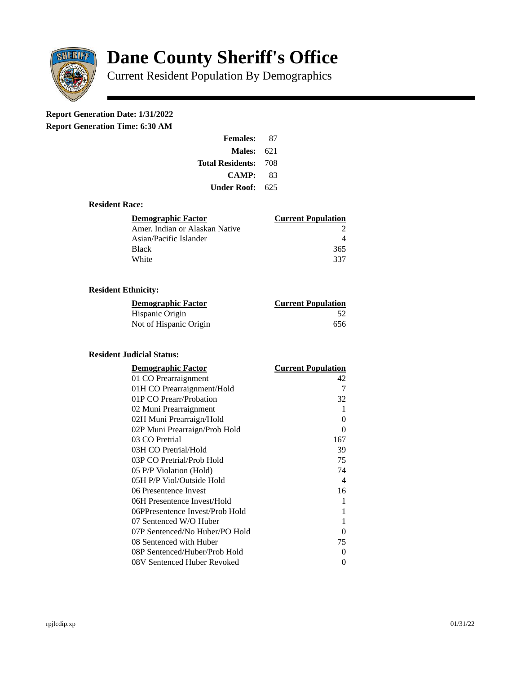

# **Dane County Sheriff's Office**

Current Resident Population By Demographics

# **Report Generation Date: 1/31/2022**

**Report Generation Time: 6:30 AM** 

| <b>Females:</b>  | 87  |
|------------------|-----|
| Males:           | 621 |
| Total Residents: | 708 |
| <b>CAMP:</b>     | 83  |
| Under Roof:      | 625 |

#### **Resident Race:**

| Demographic Factor             | <b>Current Population</b> |
|--------------------------------|---------------------------|
| Amer. Indian or Alaskan Native |                           |
| Asian/Pacific Islander         |                           |
| <b>Black</b>                   | 365                       |
| White                          | 337                       |

## **Resident Ethnicity:**

| <u> Demographic Factor</u> | <b>Current Population</b> |
|----------------------------|---------------------------|
| Hispanic Origin            | 52                        |
| Not of Hispanic Origin     | 656                       |

### **Resident Judicial Status:**

| <b>Demographic Factor</b>       | <b>Current Population</b> |
|---------------------------------|---------------------------|
| 01 CO Prearraignment            | 42                        |
| 01H CO Prearraignment/Hold      | 7                         |
| 01P CO Prearr/Probation         | 32                        |
| 02 Muni Prearraignment          | 1                         |
| 02H Muni Prearraign/Hold        | 0                         |
| 02P Muni Prearraign/Prob Hold   | 0                         |
| 03 CO Pretrial                  | 167                       |
| 03H CO Pretrial/Hold            | 39                        |
| 03P CO Pretrial/Prob Hold       | 75                        |
| 05 P/P Violation (Hold)         | 74                        |
| 05H P/P Viol/Outside Hold       | $\overline{\mathcal{A}}$  |
| 06 Presentence Invest           | 16                        |
| 06H Presentence Invest/Hold     | 1                         |
| 06PPresentence Invest/Prob Hold | 1                         |
| 07 Sentenced W/O Huber          | 1                         |
| 07P Sentenced/No Huber/PO Hold  | 0                         |
| 08 Sentenced with Huber         | 75                        |
| 08P Sentenced/Huber/Prob Hold   | O                         |
| 08V Sentenced Huber Revoked     | 0                         |